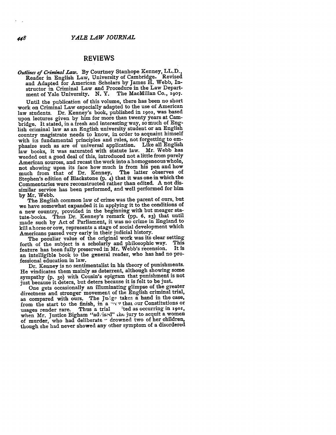## REVIEWS

*Outlines of Criminal Law.* **By** Courtney Stanhope Kenney, LL.D., Reader in English Law, University of Cambridge. Revised and Adapted for American Scholars **by** James H. Webb, Instructor in Criminal Law and Procedure in the Law Depart-<br>ment of Yale University. N.Y. The MacMillan Co., 1907. ment of Yale University. N. Y.

Until the publication of this volume, there has been no short work on Criminal Law especially adapted to the use of American law students. Dr. Kenney's book, published in **19o2,** was based upon lectures given **by** him for more than twenty years at Cambridge. It stated, in a fresh and interesting way, so much of English criminal law as an English university student or an English country magistrate needs to know, in order to acquaint himself with its fundamental principles and rules, not forgetting to emphasize such as are of universal application. Like all English law books, it was saturated with statute law. Mr. Webb has weeded out a good deal of this, introduced not a little from purely American sources, and recast the work into a homogeneous whole, not showing upon its face how much is from his pen and how<br>much from that of Dr. Kenney. The latter observes of much from that of Dr. Kenney. Stephen's edition of Blackstone (p. **4)** that it was one in which the Commentaries were reconstructed rather than edited. A not dissimilar service has been performed, and well performed for him **by** Mr. Webb.

The English common law of crime was the parent of ours, but we have somewhat expanded it in applying it to the conditions of a new country, provided in the beginning with but meager statute-books. Thus Dr. Kenney's remark **(pp. 6, 23)** that until made such **by** Act of Parliament, it was no crime in England to kill a horse or cow, represents a stage of social development which Americans passed very early in their judicial history.

The peculiar value of the original work was its clear setting forth of the subject is a scholarly and philosophic way. This feature has been fully preserved in Mr. Webb's recension. It is an intelligible book to the general reader, who has had no professional education in law.

Dr. Kenney is no sentimentalist in his theory of punishments. He vindicates them mainly as deterrent, although showing some sympathy (p. **3o)** with Cousin's epigram that punishment is not just because it deters, but deters because it is felt to be just.

One gets occasionally an illuminating glimpse of the greater directness and stronger movement of the English criminal trial, as compared with ours. The Ju<sub>i</sub>ge takes a hand in the case, from the start to the finish, in a *v*  $\tau$  that our Constitutions or usages render rare. Thus a trial *i*ted as occurring in 1901, usages render rare. Thus a trial ted as occurring in **1901** when Mr. Justice Bigham "advised" the jury to acquit a women of murder, who had deliberate  $\cdot$  drowned two of her children, though she had never showed any other symptom of a disordered

448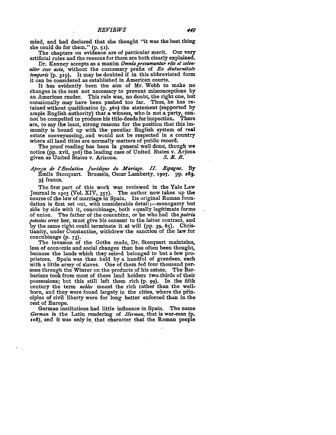mind, and had declared that she thought "it was the best thing she could do for them." (p. 51).

The chapters on evidence are of particular merit. Our very artificial rules and the reasons for them are both clearly explained.

Dr. Kenney accepts as a maxim Omnia presumuntur rite et solen*niter esse acta,* without the customary prefix of *Ex diuturnitate temporis* (p. 319). It may be doubted if in this abbreviated form it can be considered as established in American courts.

It has evidently been the aim of Mr. Webb to make no changes in the text not necessary to prevent misconceptions **by** an American reader. This rule was, no doubt, the right one, but occasionally may have been pushed too far. Thus, he has retained without qualification **(p. 360)** the statement (supported **by** ample English authority) that a witness, who is not a party, cannot be compelled to produce his title-deeds for inspection. There are, to say the least, strong reasons for the position that this immunity is bound up with the peculiar English system of real estate conveyancing, and would not be respected in a country where all land titles are normally matters of public record.

The proof reading has been in general well done, though we notice **(pp.** xvii, **3o6)** the leading case of United States v. Arjona given as United States v. Arizona. *S. A. B.*

## *APerffu de lEvolution Juridiue du Mariage. II. Bspagne.* **By** Emile Stocquart. Brussels, Oscar Lamberty, **1907.** pp. 283. **31** francs.

The first part of this work was reviewed in the Yale Law Journal in 19o5 (Vol. XIV, **357).** The author now takes up the course of the law of marriage in Spain. Its original Roman foundation is first set out, with considerable detail;—monogamy but side **by** side with it, concubinage, both equally legitimate forms of union. The father of the concubine, or he who had *the patria .potestas* over her, must give his consent to the latter contract, and **by** the same right could terminate it at will (pp. **39, 65).** Christianity, under Constantine, withdrew the sanction of the law for concubinage (p. **73).**

The invasion of the Goths made, Dr. Stocquart maintains, less of economic and social changes than has often been thought, because the lands which they seized belonged to but a few proprietors. Spain was than held **by** a handful of grandees, each with a little army of slaves. One of them fed four thousand persons through the Winter on the products of his estate. The Barbarians took from most of these land holders two-thirds of their possessions; but this still left them rich **(p. 99).** In the fifth century the term *nobles* meant the rich rather than the wellborn, and they were found largely in the cities, where the principles of civil liberty were for long better enforced than in the rest of Europe.

German institutions had little influence in Spain. The name *German* is the Latin rendering of *Herman,* that is war-man **(p.** ro8), and it was only in that character that the Roman people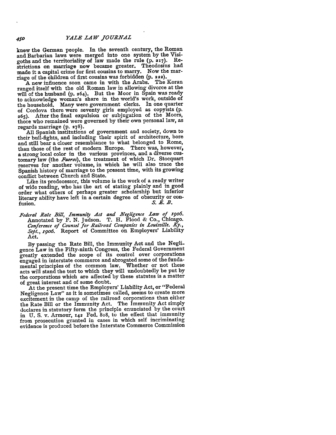knew the German people. In the seventh century, the Roman and Barbarian laws were merged into one system **by** the Visigoths and the territoriality of law made the rule **(p. 217).** Restrictions on marriage now became greater. Theodosius had made it a capital crime for first cousins to marry. Now the marriage of the children of first cousins was forbidden **(p.** 222).

A new influence soon came in with the Arabs. The Koran ranged itself with the old Roman law in allowing divorce at the will of the husband **(p. 264).** But the Moor in Spain was ready to acknowledge woman's share in the world's work, outside of the household. Many were government clerks. In one quarter of Cordova there were seventy girls employed as copyists **(p. 265).** After the final expulsion or subjugation of the Moors, those who remained were governed **by** their own personal law, as regards marriage **(p. 278).**

**All** Spanish institutions of government and society, down to their bull-fights, and including their spirit of architecture, bore and still bear a closer resemblance to what belonged to Rome, than those of the rest of modern Europe. There was, however, a strong local color in the various provinces, and a diverse customary law (the Fueros), the treatment of which Dr. Stocquart reserves for another volume, in which he will also trace the Spanish history of marriage to the present time, with its growing conflict between Church and State.

Like its predecessor, this volume is the work of a ready writer of wide reading, who has the art of stating plainly and in good order what others of perhaps greater scholarship but inferior literary ability have left in a certain degree of obscurity or confusion.<br> $S. E. B.$ fusion. *S. E. B.*

*.Federal Rate Bill, Immunity Act and Negligence Law of 79o6.* Annotated **by** F. N. Judson. T. H. Flood & Co., Chicago. *Conference of Counsel for Railroad Companies in Louisville. Ky., Sept., x9o6.* Report of Committee on Employers' Liability Act.

By passing the Rate Bill, the Immunity Act and the Negligence Law in the Fifty-ninth Congress, the Federal Government greatly extended the scope of its control over corporations engaged in interstate commerce and abrogated some of the fundamental principles of the common law. Whether or not these acts will stand the test to which they will undoubtedly be put **by** the corporations which are affected **by** these statutes is a matter of great interest and of some doubt.

At the present time the Employers' Liability Act, or "Federal Negligence Law" as it is sometimes called, seems to create more excitement in the camp of the railroad corporations than either the Rate Bill or the Immunity Act. The Immunity Act simply declares in statutory form the principle enunciated **by** the court in **U. S.** v. Armour, **142** Fed. 8o8, to the effect that immunity from prosecution granted in cases in which self incriminating evidence is produced before the Interstate Commerce Commission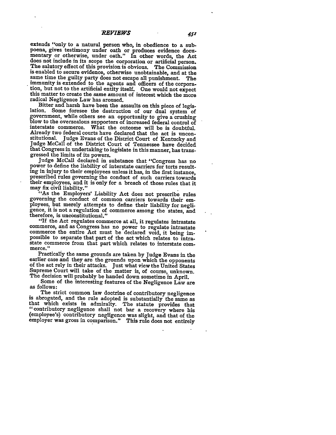extends "only to a natural person who, in obedience to a subpoena, gives testimony under oath or produces evidence documentary or otherwise, under oath." In other words, the Act does not include in its scope the corporation or artificial person.<br>The salutory effect of this provision is obvious. The Commission is enabled to secure evidence, otherwise unobtainable, and at the same time the guilty party does not escape all punishment. The immunity is extended to the agents and officers of the corpora- tion, but not to the artificial entity itself. One would not expect this matter to create the same amount of interest which the more radical Negligence Law has aroused.<br>Bitter and harsh have been the assaults on this piece of legis-

lation. Some foresee the destruction of our dual system of government, while others see an opportunity to give a crushing blow to the overzealous supporters of increased federal control of interstate commerce. What the outcome will be is doubtful. Already two federal courts have declared that the **act** is unconstitutional. Judge Evans of the District Court of Kentucky and Judge McCall of the District Court of Tennessee have decided that Congress in undertaking to legislate in this manner, has trans-

Judge McCall declared in substance that "Congress has no power to define the liability of interstate carriers for torts result- ing in injury to their employees unless it has, in the first instance, prescribed rules governing the conduct of such carriers towards their employees, and it is only for a breach of those rules that it may fix civil liability."

"As the Employers' Liability Act does not prescribe rules governing the conduct of common carriers towards their employees, but merely attempts to define their liability for negligence, it is not a regulation of commerce among the states, and therefore, is unconstitutional."

"If the Act regulates commerce at all, it regulates intrastate commerce, and as Congress has no power to regulate intrastate commerce the entire Act must be declared void, it being impossible to separate that part of the act which relates to intrastate commerce from that part which relates to interstate commerce."

Practically the same grounds are taken **by** Judge Evans in the of the act rely in their attacks. Just what view the United States Supreme Court will take of the matter is, of course, unknown.

The decision will probably be handed down sometime in April. Some of the interesting features of the Negligence Law are

as follows:<br>The strict common law doctrine of contributory negligence The strict common law doctrine of contributory negligence is abrogated, and the rule adopted is substantially the same as that which exists in admiralty. The statute provides that "contributory negligence shall not bar a recovery where his (employee's) contributory negligence was slight, and that of the employer was gross in comparison." This rule does not entirely